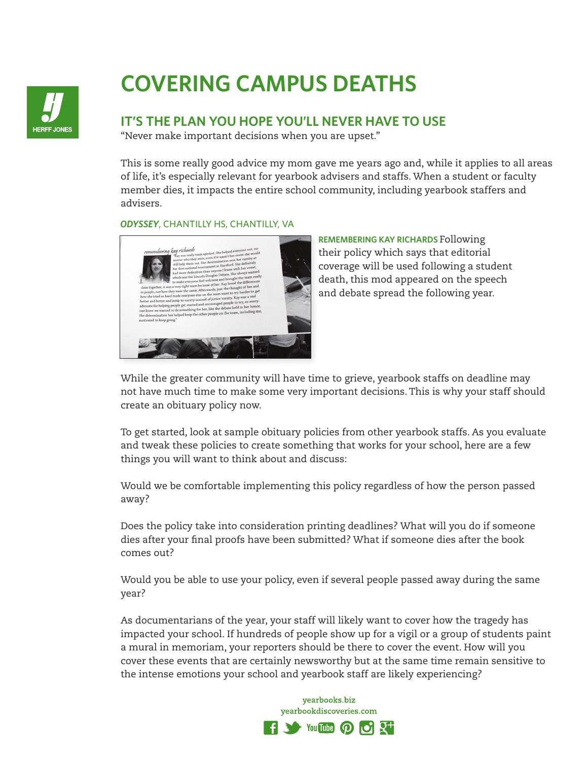

## **COVERING CAMPUS DEATHS**

## **IT'S THE PLAN YOU HOPE YOU'LL NEVER HAVE TO USE**

"Never make important decisions when you are upset."

This is some really good advice my mom gave me years ago and, while it applies to all areas of life, it's especially relevant for yearbook advisers and staffs. When a student or faculty member dies, it impacts the entire school community, including yearbook staffers and advisers.

## *ODYSSEY*, CHANTILLY HS, CHANTILLY, VA



**REMEMBERING KAY RICHARDS** Following their policy which says that editorial coverage will be used following a student death, this mod appeared on the speech and debate spread the following year.

While the greater community will have time to grieve, yearbook staffs on deadline may not have much time to make some very important decisions. This is why your staff should create an obituary policy now.

To get started, look at sample obituary policies from other yearbook staffs. As you evaluate and tweak these policies to create something that works for your school, here are a few things you will want to think about and discuss:

Would we be comfortable implementing this policy regardless of how the person passed away?

Does the policy take into consideration printing deadlines? What will you do if someone dies after your final proofs have been submitted? What if someone dies after the book comes out?

Would you be able to use your policy, even if several people passed away during the same year?

As documentarians of the year, your staff will likely want to cover how the tragedy has impacted your school. If hundreds of people show up for a vigil or a group of students paint a mural in memoriam, your reporters should be there to cover the event. How will you cover these events that are certainly newsworthy but at the same time remain sensitive to the intense emotions your school and yearbook staff are likely experiencing?